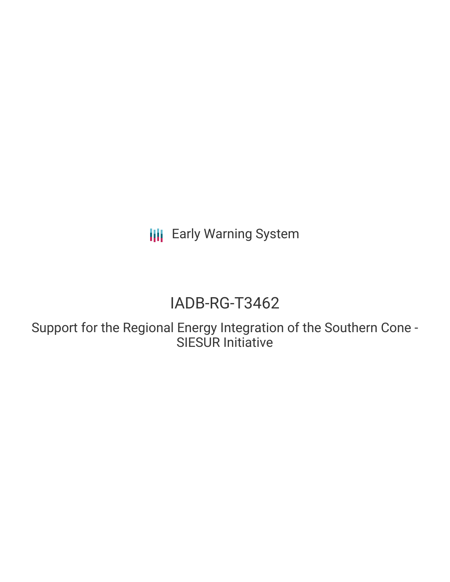**III** Early Warning System

# IADB-RG-T3462

Support for the Regional Energy Integration of the Southern Cone - SIESUR Initiative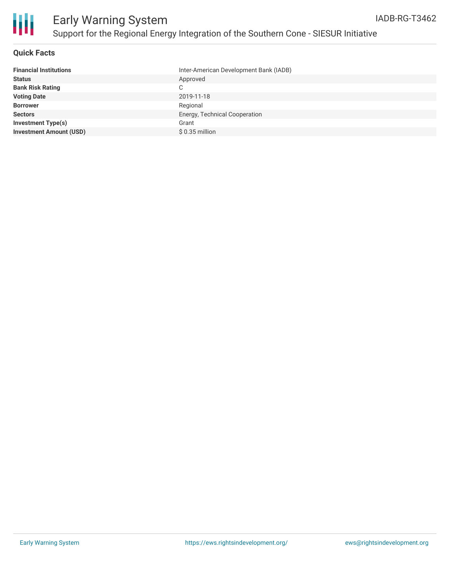

#### **Quick Facts**

| <b>Financial Institutions</b>  | Inter-American Development Bank (IADB) |
|--------------------------------|----------------------------------------|
| <b>Status</b>                  | Approved                               |
| <b>Bank Risk Rating</b>        | C.                                     |
| <b>Voting Date</b>             | 2019-11-18                             |
| <b>Borrower</b>                | Regional                               |
| <b>Sectors</b>                 | Energy, Technical Cooperation          |
| Investment Type(s)             | Grant                                  |
| <b>Investment Amount (USD)</b> | $$0.35$ million                        |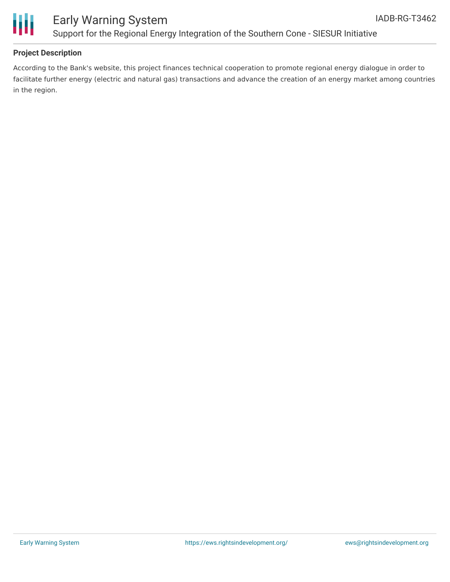

### Early Warning System Support for the Regional Energy Integration of the Southern Cone - SIESUR Initiative

#### **Project Description**

According to the Bank's website, this project finances technical cooperation to promote regional energy dialogue in order to facilitate further energy (electric and natural gas) transactions and advance the creation of an energy market among countries in the region.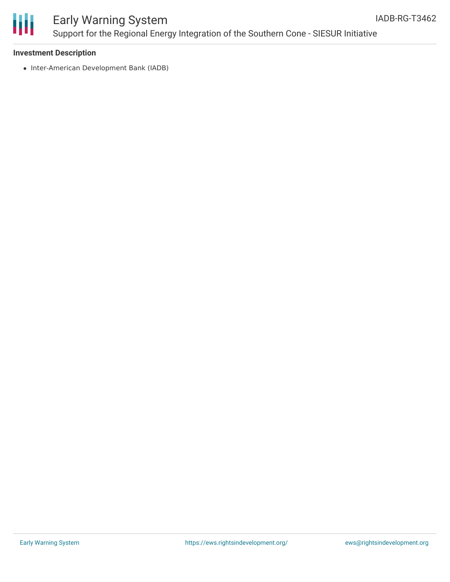

### Early Warning System Support for the Regional Energy Integration of the Southern Cone - SIESUR Initiative

#### **Investment Description**

• Inter-American Development Bank (IADB)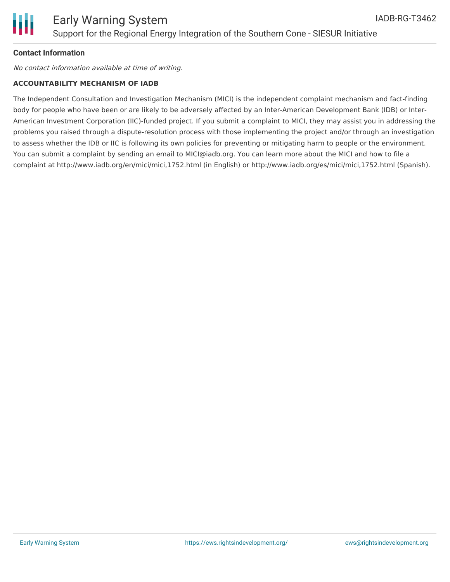#### **Contact Information**

No contact information available at time of writing.

#### **ACCOUNTABILITY MECHANISM OF IADB**

The Independent Consultation and Investigation Mechanism (MICI) is the independent complaint mechanism and fact-finding body for people who have been or are likely to be adversely affected by an Inter-American Development Bank (IDB) or Inter-American Investment Corporation (IIC)-funded project. If you submit a complaint to MICI, they may assist you in addressing the problems you raised through a dispute-resolution process with those implementing the project and/or through an investigation to assess whether the IDB or IIC is following its own policies for preventing or mitigating harm to people or the environment. You can submit a complaint by sending an email to MICI@iadb.org. You can learn more about the MICI and how to file a complaint at http://www.iadb.org/en/mici/mici,1752.html (in English) or http://www.iadb.org/es/mici/mici,1752.html (Spanish).